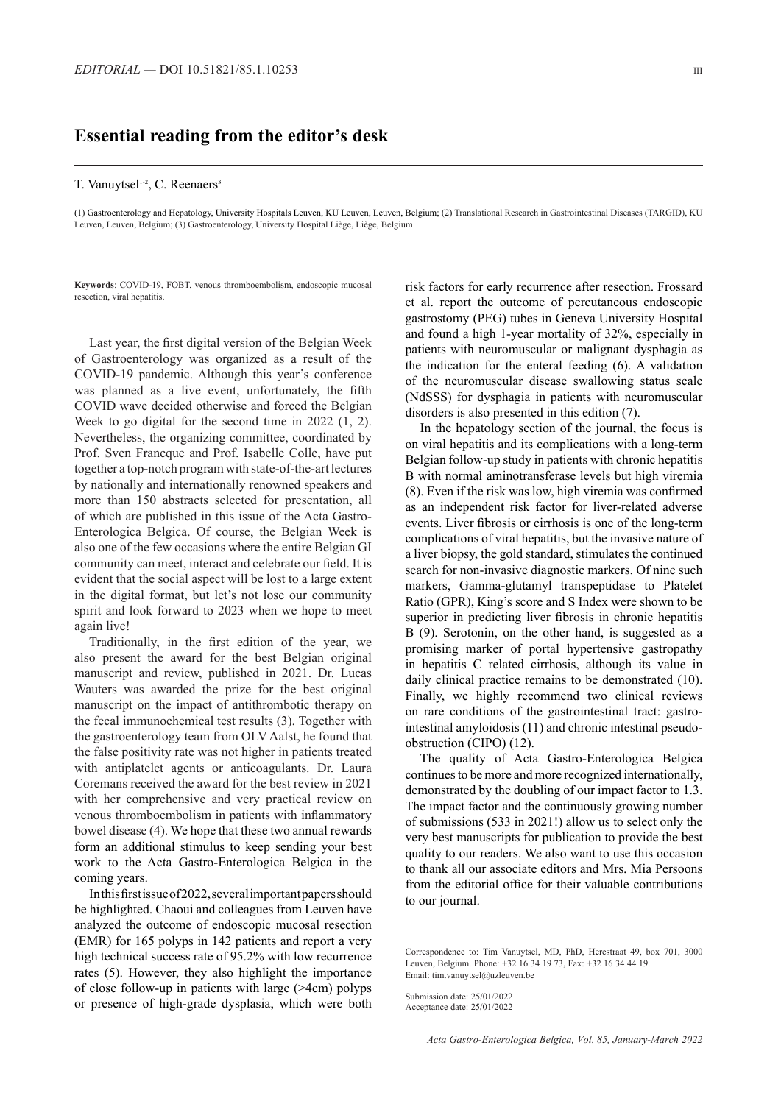## **Essential reading from the editor's desk**

## T. Vanuytsel<sup>1-2</sup>, C. Reenaers<sup>3</sup>

(1) Gastroenterology and Hepatology, University Hospitals Leuven, KU Leuven, Leuven, Belgium; (2) Translational Research in Gastrointestinal Diseases (TARGID), KU Leuven, Leuven, Belgium; (3) Gastroenterology, University Hospital Liège, Liège, Belgium.

**Keywords**: COVID-19, FOBT, venous thromboembolism, endoscopic mucosal resection, viral hepatitis.

Last year, the first digital version of the Belgian Week of Gastroenterology was organized as a result of the COVID-19 pandemic. Although this year's conference was planned as a live event, unfortunately, the fifth COVID wave decided otherwise and forced the Belgian Week to go digital for the second time in 2022 (1, 2). Nevertheless, the organizing committee, coordinated by Prof. Sven Francque and Prof. Isabelle Colle, have put together a top-notch program with state-of-the-art lectures by nationally and internationally renowned speakers and more than 150 abstracts selected for presentation, all of which are published in this issue of the Acta Gastro-Enterologica Belgica. Of course, the Belgian Week is also one of the few occasions where the entire Belgian GI community can meet, interact and celebrate our field. It is evident that the social aspect will be lost to a large extent in the digital format, but let's not lose our community spirit and look forward to 2023 when we hope to meet again live!

Traditionally, in the first edition of the year, we also present the award for the best Belgian original manuscript and review, published in 2021. Dr. Lucas Wauters was awarded the prize for the best original manuscript on the impact of antithrombotic therapy on the fecal immunochemical test results (3). Together with the gastroenterology team from OLV Aalst, he found that the false positivity rate was not higher in patients treated with antiplatelet agents or anticoagulants. Dr. Laura Coremans received the award for the best review in 2021 with her comprehensive and very practical review on venous thromboembolism in patients with inflammatory bowel disease (4). We hope that these two annual rewards form an additional stimulus to keep sending your best work to the Acta Gastro-Enterologica Belgica in the coming years.

In this first issue of 2022, several important papers should be highlighted. Chaoui and colleagues from Leuven have analyzed the outcome of endoscopic mucosal resection (EMR) for 165 polyps in 142 patients and report a very high technical success rate of 95.2% with low recurrence rates (5). However, they also highlight the importance of close follow-up in patients with large (>4cm) polyps or presence of high-grade dysplasia, which were both risk factors for early recurrence after resection. Frossard et al. report the outcome of percutaneous endoscopic gastrostomy (PEG) tubes in Geneva University Hospital and found a high 1-year mortality of 32%, especially in patients with neuromuscular or malignant dysphagia as the indication for the enteral feeding (6). A validation of the neuromuscular disease swallowing status scale (NdSSS) for dysphagia in patients with neuromuscular disorders is also presented in this edition (7).

In the hepatology section of the journal, the focus is on viral hepatitis and its complications with a long-term Belgian follow-up study in patients with chronic hepatitis B with normal aminotransferase levels but high viremia (8). Even if the risk was low, high viremia was confirmed as an independent risk factor for liver-related adverse events. Liver fibrosis or cirrhosis is one of the long-term complications of viral hepatitis, but the invasive nature of a liver biopsy, the gold standard, stimulates the continued search for non-invasive diagnostic markers. Of nine such markers, Gamma-glutamyl transpeptidase to Platelet Ratio (GPR), King's score and S Index were shown to be superior in predicting liver fibrosis in chronic hepatitis B (9). Serotonin, on the other hand, is suggested as a promising marker of portal hypertensive gastropathy in hepatitis C related cirrhosis, although its value in daily clinical practice remains to be demonstrated (10). Finally, we highly recommend two clinical reviews on rare conditions of the gastrointestinal tract: gastrointestinal amyloidosis (11) and chronic intestinal pseudoobstruction (CIPO) (12).

The quality of Acta Gastro-Enterologica Belgica continues to be more and more recognized internationally, demonstrated by the doubling of our impact factor to 1.3. The impact factor and the continuously growing number of submissions (533 in 2021!) allow us to select only the very best manuscripts for publication to provide the best quality to our readers. We also want to use this occasion to thank all our associate editors and Mrs. Mia Persoons from the editorial office for their valuable contributions to our journal.

Correspondence to: Tim Vanuytsel, MD, PhD, Herestraat 49, box 701, 3000 Leuven, Belgium. Phone: +32 16 34 19 73, Fax: +32 16 34 44 19. Email: tim.vanuytsel@uzleuven.be

Submission date: 25/01/2022 Acceptance date: 25/01/2022